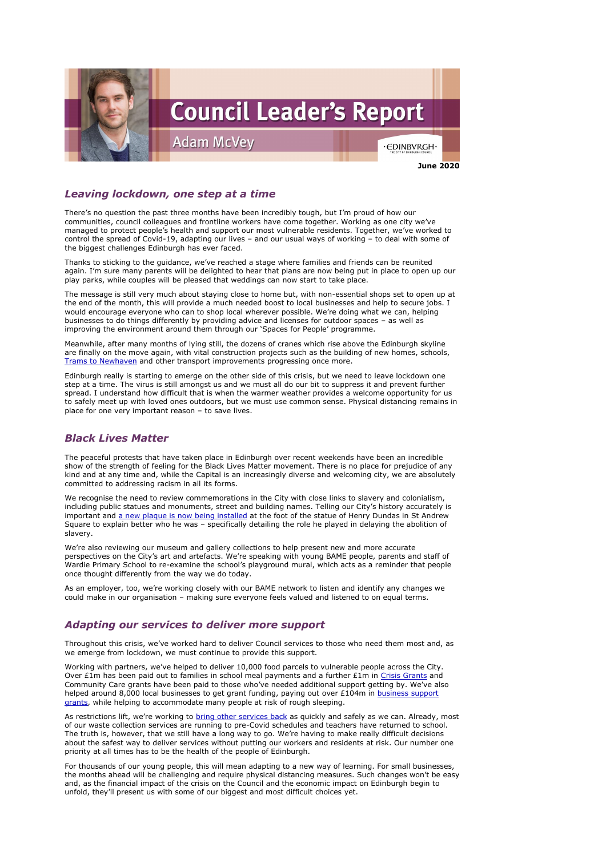

## *Leaving lockdown, one step at a time*

There's no question the past three months have been incredibly tough, but I'm proud of how our communities, council colleagues and frontline workers have come together. Working as one city we've managed to protect people's health and support our most vulnerable residents. Together, we've worked to control the spread of Covid-19, adapting our lives – and our usual ways of working – to deal with some of the biggest challenges Edinburgh has ever faced.

Thanks to sticking to the guidance, we've reached a stage where families and friends can be reunited again. I'm sure many parents will be delighted to hear that plans are now being put in place to open up our play parks, while couples will be pleased that weddings can now start to take place.

The message is still very much about staying close to home but, with non-essential shops set to open up at the end of the month, this will provide a much needed boost to local businesses and help to secure jobs. I would encourage everyone who can to shop local wherever possible. We're doing what we can, helping businesses to do things differently by providing advice and licenses for outdoor spaces – as well as improving the environment around them through our 'Spaces for People' programme.

Meanwhile, after many months of lying still, the dozens of cranes which rise above the Edinburgh skyline are finally on the move again, with vital construction projects such as the building of new homes, schools, [Trams to Newhaven](https://www.edinburgh.gov.uk/news/article/12889/main-construction-works-for-trams-to-newhaven-project-to-start) and other transport improvements progressing once more.

We recognise the need to review commemorations in the City with close links to slavery and colonialism, including public statues and monuments, street and building names. Telling our City's history accurately is important and a [new plaque is now being installed](https://www.edinburgh.gov.uk/news/article/12885/new-wording-for-plaque-at-melville-monument-agreed) at the foot of the statue of Henry Dundas in St Andrew Square to explain better who he was – specifically detailing the role he played in delaying the abolition of slavery.

Edinburgh really is starting to emerge on the other side of this crisis, but we need to leave lockdown one step at a time. The virus is still amongst us and we must all do our bit to suppress it and prevent further spread. I understand how difficult that is when the warmer weather provides a welcome opportunity for us to safely meet up with loved ones outdoors, but we must use common sense. Physical distancing remains in place for one very important reason – to save lives.

Working with partners, we've helped to deliver 10,000 food parcels to vulnerable people across the City. Over £1m has been paid out to families in school meal payments and a further £1m in [Crisis Grants](https://www.edinburgh.gov.uk/benefits-grants/advice-shop/6?documentId=12262&categoryId=20127) and Community Care grants have been paid to those who've needed additional support getting by. We've also helped around 8,000 local businesses to get grant funding, paying out over £104m in business support [grants,](https://www.edinburgh.gov.uk/coronavirus-4/businesses-employers/5?documentId=12924&categoryId=20297) while helping to accommodate many people at risk of rough sleeping.

## *Black Lives Matter*

The peaceful protests that have taken place in Edinburgh over recent weekends have been an incredible show of the strength of feeling for the Black Lives Matter movement. There is no place for prejudice of any kind and at any time and, while the Capital is an increasingly diverse and welcoming city, we are absolutely committed to addressing racism in all its forms.

As restrictions lift, we're working to [bring other services](https://www.edinburgh.gov.uk/coronavirus) back as quickly and safely as we can. Already, most of our waste collection services are running to pre-Covid schedules and teachers have returned to school. The truth is, however, that we still have a long way to go. We're having to make really difficult decisions about the safest way to deliver services without putting our workers and residents at risk. Our number one priority at all times has to be the health of the people of Edinburgh.

We're also reviewing our museum and gallery collections to help present new and more accurate perspectives on the City's art and artefacts. We're speaking with young BAME people, parents and staff of Wardie Primary School to re-examine the school's playground mural, which acts as a reminder that people once thought differently from the way we do today.

As an employer, too, we're working closely with our BAME network to listen and identify any changes we could make in our organisation – making sure everyone feels valued and listened to on equal terms.

# *Adapting our services to deliver more support*

Throughout this crisis, we've worked hard to deliver Council services to those who need them most and, as

we emerge from lockdown, we must continue to provide this support.

For thousands of our young people, this will mean adapting to a new way of learning. For small businesses, the months ahead will be challenging and require physical distancing measures. Such changes won't be easy and, as the financial impact of the crisis on the Council and the economic impact on Edinburgh begin to unfold, they'll present us with some of our biggest and most difficult choices yet.